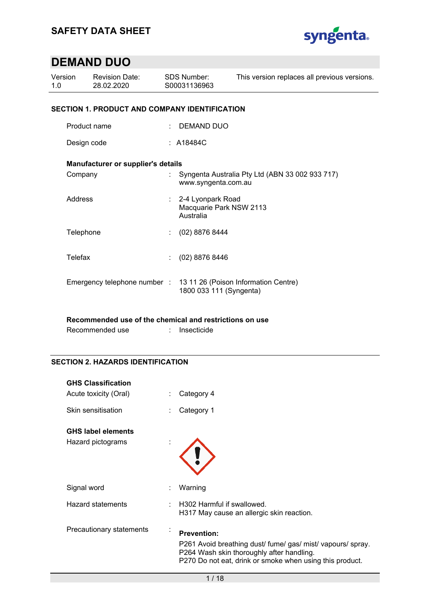

| Version<br>1.0 |                                                      | <b>Revision Date:</b><br>28.02.2020 |   | <b>SDS Number:</b><br>S00031136963                          | This version replaces all previous versions.    |  |  |  |
|----------------|------------------------------------------------------|-------------------------------------|---|-------------------------------------------------------------|-------------------------------------------------|--|--|--|
|                | <b>SECTION 1. PRODUCT AND COMPANY IDENTIFICATION</b> |                                     |   |                                                             |                                                 |  |  |  |
|                | Product name                                         |                                     | ÷ | DEMAND DUO                                                  |                                                 |  |  |  |
|                | Design code                                          |                                     |   | : A18484C                                                   |                                                 |  |  |  |
|                |                                                      | Manufacturer or supplier's details  |   |                                                             |                                                 |  |  |  |
|                | Company                                              |                                     |   | www.syngenta.com.au                                         | Syngenta Australia Pty Ltd (ABN 33 002 933 717) |  |  |  |
|                | Address                                              |                                     |   | : 2-4 Lyonpark Road<br>Macquarie Park NSW 2113<br>Australia |                                                 |  |  |  |
|                | Telephone                                            |                                     |   | $(02)$ 8876 8444                                            |                                                 |  |  |  |
|                | <b>Telefax</b>                                       |                                     | ÷ | (02) 8876 8446                                              |                                                 |  |  |  |
|                |                                                      | Emergency telephone number:         |   | 1800 033 111 (Syngenta)                                     | 13 11 26 (Poison Information Centre)            |  |  |  |

### **Recommended use of the chemical and restrictions on use**

| Recommended use | Insecticide |
|-----------------|-------------|
|-----------------|-------------|

### **SECTION 2. HAZARDS IDENTIFICATION**

| <b>GHS Classification</b><br>Acute toxicity (Oral) |                | Category 4                                                                                                                                                                                 |
|----------------------------------------------------|----------------|--------------------------------------------------------------------------------------------------------------------------------------------------------------------------------------------|
| Skin sensitisation                                 |                | Category 1                                                                                                                                                                                 |
| <b>GHS label elements</b><br>Hazard pictograms     |                |                                                                                                                                                                                            |
| Signal word                                        |                | Warning                                                                                                                                                                                    |
| <b>Hazard statements</b>                           |                | H302 Harmful if swallowed.<br>H317 May cause an allergic skin reaction.                                                                                                                    |
| Precautionary statements                           | $\blacksquare$ | <b>Prevention:</b><br>P261 Avoid breathing dust/ fume/ gas/ mist/ vapours/ spray.<br>P264 Wash skin thoroughly after handling.<br>P270 Do not eat, drink or smoke when using this product. |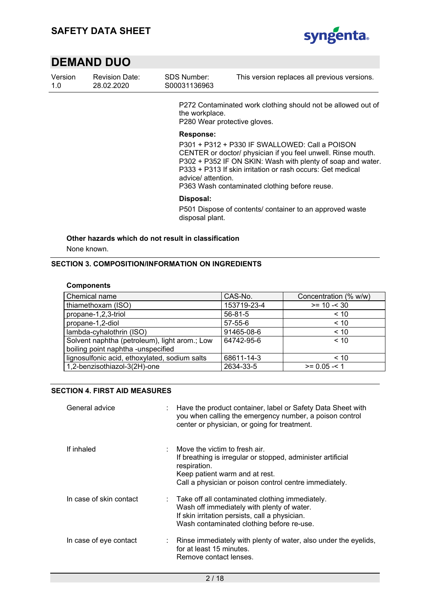

| S00031136963<br>28.02.2020<br>-1.0 | Version | <b>Revision Date:</b> | SDS Number: | This version replaces all previous versions. |  |
|------------------------------------|---------|-----------------------|-------------|----------------------------------------------|--|
|------------------------------------|---------|-----------------------|-------------|----------------------------------------------|--|

P272 Contaminated work clothing should not be allowed out of the workplace. P280 Wear protective gloves.

#### **Response:**

P301 + P312 + P330 IF SWALLOWED: Call a POISON CENTER or doctor/ physician if you feel unwell. Rinse mouth. P302 + P352 IF ON SKIN: Wash with plenty of soap and water. P333 + P313 If skin irritation or rash occurs: Get medical advice/ attention.

P363 Wash contaminated clothing before reuse.

#### **Disposal:**

P501 Dispose of contents/ container to an approved waste disposal plant.

### **Other hazards which do not result in classification**

None known.

#### **SECTION 3. COMPOSITION/INFORMATION ON INGREDIENTS**

#### **Components**

| Chemical name                                 | CAS-No.       | Concentration (% w/w) |
|-----------------------------------------------|---------------|-----------------------|
| thiamethoxam (ISO)                            | 153719-23-4   | $>= 10 - 30$          |
| propane-1,2,3-triol                           | $56 - 81 - 5$ | ~< 10                 |
| propane-1,2-diol                              | $57 - 55 - 6$ | < 10                  |
| lambda-cyhalothrin (ISO)                      | 91465-08-6    | < 10                  |
| Solvent naphtha (petroleum), light arom.; Low | 64742-95-6    | < 10                  |
| boiling point naphtha -unspecified            |               |                       |
| lignosulfonic acid, ethoxylated, sodium salts | 68611-14-3    | ~< 10                 |
| 1,2-benzisothiazol-3(2H)-one                  | 2634-33-5     | $>= 0.05 - 1$         |

### **SECTION 4. FIRST AID MEASURES**

| General advice          | : Have the product container, label or Safety Data Sheet with<br>you when calling the emergency number, a poison control<br>center or physician, or going for treatment.                                 |
|-------------------------|----------------------------------------------------------------------------------------------------------------------------------------------------------------------------------------------------------|
| If inhaled              | Move the victim to fresh air.<br>If breathing is irregular or stopped, administer artificial<br>respiration.<br>Keep patient warm and at rest.<br>Call a physician or poison control centre immediately. |
| In case of skin contact | : Take off all contaminated clothing immediately.<br>Wash off immediately with plenty of water.<br>If skin irritation persists, call a physician.<br>Wash contaminated clothing before re-use.           |
| In case of eye contact  | Rinse immediately with plenty of water, also under the eyelids,<br>for at least 15 minutes.<br>Remove contact lenses.                                                                                    |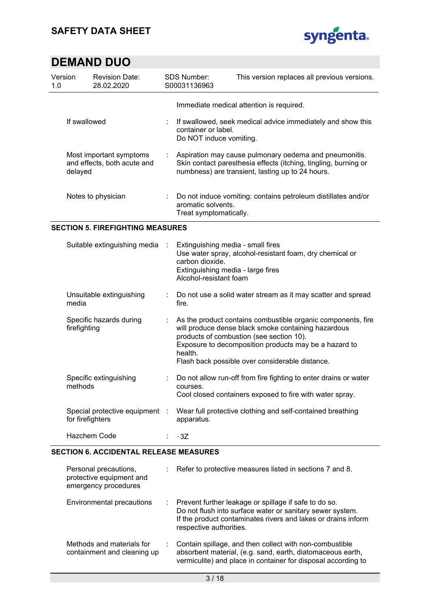

| Version<br>1.0                                                    | <b>Revision Date:</b><br>28.02.2020 |                             | SDS Number:<br>S00031136963                                                                                                                               | This version replaces all previous versions.                                                                                                                                  |  |  |  |
|-------------------------------------------------------------------|-------------------------------------|-----------------------------|-----------------------------------------------------------------------------------------------------------------------------------------------------------|-------------------------------------------------------------------------------------------------------------------------------------------------------------------------------|--|--|--|
| If swallowed                                                      |                                     |                             | Immediate medical attention is required.<br>If swallowed, seek medical advice immediately and show this<br>container or label.<br>Do NOT induce vomiting. |                                                                                                                                                                               |  |  |  |
| Most important symptoms<br>and effects, both acute and<br>delayed |                                     | $\mathcal{L}_{\mathcal{A}}$ |                                                                                                                                                           | Aspiration may cause pulmonary oedema and pneumonitis.<br>Skin contact paresthesia effects (itching, tingling, burning or<br>numbness) are transient, lasting up to 24 hours. |  |  |  |
|                                                                   | Notes to physician                  |                             | aromatic solvents.<br>Treat symptomatically.                                                                                                              | Do not induce vomiting: contains petroleum distillates and/or                                                                                                                 |  |  |  |

### **SECTION 5. FIREFIGHTING MEASURES**

| Suitable extinguishing media                       | $\sim$ 10 | Extinguishing media - small fires<br>Use water spray, alcohol-resistant foam, dry chemical or<br>carbon dioxide.<br>Extinguishing media - large fires<br>Alcohol-resistant foam                                                                                                        |
|----------------------------------------------------|-----------|----------------------------------------------------------------------------------------------------------------------------------------------------------------------------------------------------------------------------------------------------------------------------------------|
| Unsuitable extinguishing<br>media                  |           | : Do not use a solid water stream as it may scatter and spread<br>fire.                                                                                                                                                                                                                |
| Specific hazards during<br>firefighting            |           | As the product contains combustible organic components, fire<br>will produce dense black smoke containing hazardous<br>products of combustion (see section 10).<br>Exposure to decomposition products may be a hazard to<br>health.<br>Flash back possible over considerable distance. |
| Specific extinguishing<br>methods                  |           | Do not allow run-off from fire fighting to enter drains or water<br>courses.<br>Cool closed containers exposed to fire with water spray.                                                                                                                                               |
| Special protective equipment :<br>for firefighters |           | Wear full protective clothing and self-contained breathing<br>apparatus.                                                                                                                                                                                                               |
| Hazchem Code                                       |           | : 3Z                                                                                                                                                                                                                                                                                   |

#### **SECTION 6. ACCIDENTAL RELEASE MEASURES**

| Personal precautions,<br>protective equipment and<br>emergency procedures | $\therefore$ Refer to protective measures listed in sections 7 and 8.                                                                                                                                            |
|---------------------------------------------------------------------------|------------------------------------------------------------------------------------------------------------------------------------------------------------------------------------------------------------------|
| Environmental precautions                                                 | : Prevent further leakage or spillage if safe to do so.<br>Do not flush into surface water or sanitary sewer system.<br>If the product contaminates rivers and lakes or drains inform<br>respective authorities. |
| Methods and materials for<br>containment and cleaning up                  | Contain spillage, and then collect with non-combustible<br>absorbent material, (e.g. sand, earth, diatomaceous earth,<br>vermiculite) and place in container for disposal according to                           |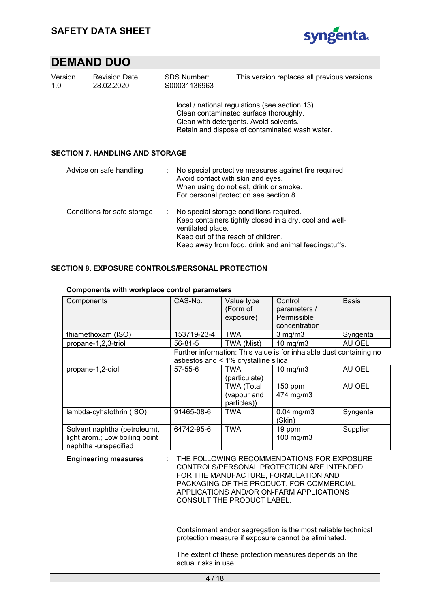

| Version<br>1.0                         | <b>Revision Date:</b><br>28.02.2020 |   | SDS Number:<br>S00031136963                             | This version replaces all previous versions.                                                                                                                                         |  |  |  |
|----------------------------------------|-------------------------------------|---|---------------------------------------------------------|--------------------------------------------------------------------------------------------------------------------------------------------------------------------------------------|--|--|--|
|                                        |                                     |   |                                                         | local / national regulations (see section 13).<br>Clean contaminated surface thoroughly.<br>Clean with detergents. Avoid solvents.<br>Retain and dispose of contaminated wash water. |  |  |  |
| <b>SECTION 7. HANDLING AND STORAGE</b> |                                     |   |                                                         |                                                                                                                                                                                      |  |  |  |
|                                        | Advice on safe handling             |   | Avoid contact with skin and eyes.                       | No special protective measures against fire required.<br>When using do not eat, drink or smoke.<br>For personal protection see section 8.                                            |  |  |  |
|                                        | Conditions for safe storage         | ÷ | ventilated place.<br>Keep out of the reach of children. | No special storage conditions required.<br>Keep containers tightly closed in a dry, cool and well-<br>Keep away from food, drink and animal feedingstuffs.                           |  |  |  |

### **SECTION 8. EXPOSURE CONTROLS/PERSONAL PROTECTION**

#### **Components with workplace control parameters**

| Components                                                                             | CAS-No.       | Value type<br>(Form of<br>exposure)             | Control<br>parameters /<br>Permissible<br>concentration             | <b>Basis</b> |
|----------------------------------------------------------------------------------------|---------------|-------------------------------------------------|---------------------------------------------------------------------|--------------|
| thiamethoxam (ISO)                                                                     | 153719-23-4   | TWA                                             | $3$ mg/m $3$                                                        | Syngenta     |
| propane-1,2,3-triol                                                                    | $56 - 81 - 5$ | TWA (Mist)                                      | 10 $mg/m3$                                                          | AU OEL       |
|                                                                                        |               | asbestos and < 1% crystalline silica            | Further information: This value is for inhalable dust containing no |              |
| propane-1,2-diol                                                                       | 57-55-6       | <b>TWA</b><br>(particulate)                     | $10$ mg/m $3$                                                       | AU OEL       |
|                                                                                        |               | <b>TWA (Total</b><br>(vapour and<br>particles)) | 150 ppm<br>474 mg/m3                                                | AU OEL       |
| lambda-cyhalothrin (ISO)                                                               | 91465-08-6    | <b>TWA</b>                                      | $0.04$ mg/m $3$<br>(Skin)                                           | Syngenta     |
| Solvent naphtha (petroleum),<br>light arom.; Low boiling point<br>naphtha -unspecified | 64742-95-6    | <b>TWA</b>                                      | 19 ppm<br>100 mg/m3                                                 | Supplier     |

**Engineering measures** : THE FOLLOWING RECOMMENDATIONS FOR EXPOSURE CONTROLS/PERSONAL PROTECTION ARE INTENDED FOR THE MANUFACTURE, FORMULATION AND PACKAGING OF THE PRODUCT. FOR COMMERCIAL APPLICATIONS AND/OR ON-FARM APPLICATIONS CONSULT THE PRODUCT LABEL.

> Containment and/or segregation is the most reliable technical protection measure if exposure cannot be eliminated.

The extent of these protection measures depends on the actual risks in use.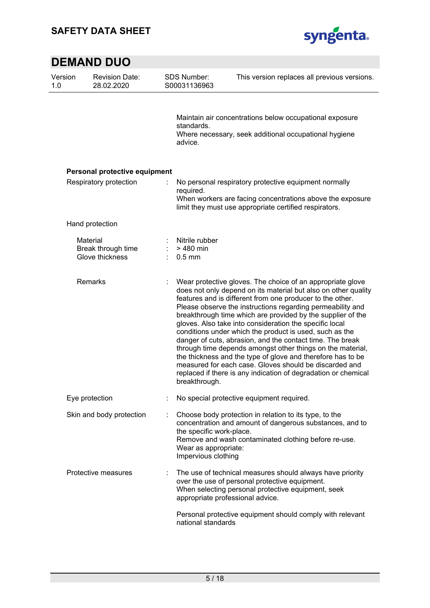

| Version<br>1.0 | <b>Revision Date:</b><br>28.02.2020               |   | <b>SDS Number:</b><br>S00031136963                                      | This version replaces all previous versions.                                                                                                                                                                                                                                                                                                                                                                                                                                                                                                                                                                                                                                                                                                                       |
|----------------|---------------------------------------------------|---|-------------------------------------------------------------------------|--------------------------------------------------------------------------------------------------------------------------------------------------------------------------------------------------------------------------------------------------------------------------------------------------------------------------------------------------------------------------------------------------------------------------------------------------------------------------------------------------------------------------------------------------------------------------------------------------------------------------------------------------------------------------------------------------------------------------------------------------------------------|
|                |                                                   |   | standards.<br>advice.                                                   | Maintain air concentrations below occupational exposure<br>Where necessary, seek additional occupational hygiene                                                                                                                                                                                                                                                                                                                                                                                                                                                                                                                                                                                                                                                   |
|                | Personal protective equipment                     |   |                                                                         |                                                                                                                                                                                                                                                                                                                                                                                                                                                                                                                                                                                                                                                                                                                                                                    |
|                | Respiratory protection                            |   | required.                                                               | No personal respiratory protective equipment normally<br>When workers are facing concentrations above the exposure<br>limit they must use appropriate certified respirators.                                                                                                                                                                                                                                                                                                                                                                                                                                                                                                                                                                                       |
|                | Hand protection                                   |   |                                                                         |                                                                                                                                                                                                                                                                                                                                                                                                                                                                                                                                                                                                                                                                                                                                                                    |
|                | Material<br>Break through time<br>Glove thickness | ÷ | Nitrile rubber<br>> 480 min<br>$0.5$ mm                                 |                                                                                                                                                                                                                                                                                                                                                                                                                                                                                                                                                                                                                                                                                                                                                                    |
|                | Remarks                                           |   | breakthrough.                                                           | Wear protective gloves. The choice of an appropriate glove<br>does not only depend on its material but also on other quality<br>features and is different from one producer to the other.<br>Please observe the instructions regarding permeability and<br>breakthrough time which are provided by the supplier of the<br>gloves. Also take into consideration the specific local<br>conditions under which the product is used, such as the<br>danger of cuts, abrasion, and the contact time. The break<br>through time depends amongst other things on the material,<br>the thickness and the type of glove and therefore has to be<br>measured for each case. Gloves should be discarded and<br>replaced if there is any indication of degradation or chemical |
|                | Eye protection                                    |   |                                                                         | No special protective equipment required.                                                                                                                                                                                                                                                                                                                                                                                                                                                                                                                                                                                                                                                                                                                          |
|                | Skin and body protection                          |   | the specific work-place.<br>Wear as appropriate:<br>Impervious clothing | Choose body protection in relation to its type, to the<br>concentration and amount of dangerous substances, and to<br>Remove and wash contaminated clothing before re-use.                                                                                                                                                                                                                                                                                                                                                                                                                                                                                                                                                                                         |
|                | Protective measures                               |   |                                                                         | The use of technical measures should always have priority<br>over the use of personal protective equipment.<br>When selecting personal protective equipment, seek<br>appropriate professional advice.                                                                                                                                                                                                                                                                                                                                                                                                                                                                                                                                                              |
|                |                                                   |   | national standards                                                      | Personal protective equipment should comply with relevant                                                                                                                                                                                                                                                                                                                                                                                                                                                                                                                                                                                                                                                                                                          |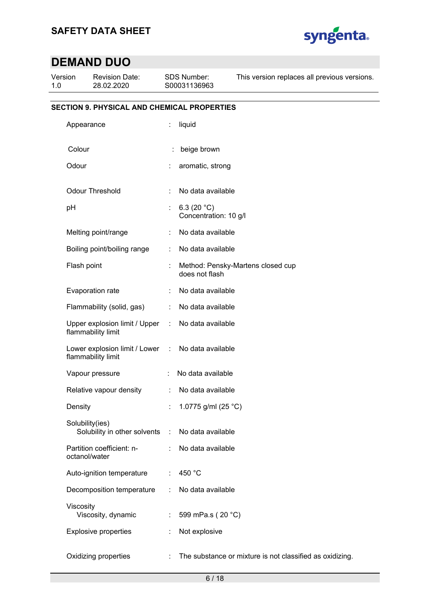

| Version<br>1.0 |                 | <b>Revision Date:</b><br>28.02.2020                   | SDS Number:<br>S00031136963 |                                         | This version replaces all previous versions.             |
|----------------|-----------------|-------------------------------------------------------|-----------------------------|-----------------------------------------|----------------------------------------------------------|
|                |                 | <b>SECTION 9. PHYSICAL AND CHEMICAL PROPERTIES</b>    |                             |                                         |                                                          |
|                | Appearance      |                                                       | ÷                           | liquid                                  |                                                          |
|                | Colour          |                                                       |                             | beige brown                             |                                                          |
|                | Odour           |                                                       |                             | aromatic, strong                        |                                                          |
|                |                 | Odour Threshold                                       |                             | No data available                       |                                                          |
|                | pH              |                                                       |                             | 6.3 (20 $°C$ )<br>Concentration: 10 g/l |                                                          |
|                |                 | Melting point/range                                   |                             | No data available                       |                                                          |
|                |                 | Boiling point/boiling range                           |                             | No data available                       |                                                          |
|                | Flash point     |                                                       |                             | does not flash                          | Method: Pensky-Martens closed cup                        |
|                |                 | Evaporation rate                                      |                             | No data available                       |                                                          |
|                |                 | Flammability (solid, gas)                             | ÷                           | No data available                       |                                                          |
|                |                 | Upper explosion limit / Upper<br>flammability limit   | ÷                           | No data available                       |                                                          |
|                |                 | Lower explosion limit / Lower :<br>flammability limit |                             | No data available                       |                                                          |
|                |                 | Vapour pressure                                       |                             | No data available                       |                                                          |
|                |                 | Relative vapour density                               | ÷                           | No data available                       |                                                          |
|                | Density         |                                                       | t                           | 1.0775 g/ml (25 °C)                     |                                                          |
|                | Solubility(ies) | Solubility in other solvents                          | $\sim$ 1.                   | No data available                       |                                                          |
|                | octanol/water   | Partition coefficient: n-                             |                             | No data available                       |                                                          |
|                |                 | Auto-ignition temperature                             | ÷                           | 450 °C                                  |                                                          |
|                |                 | Decomposition temperature                             |                             | No data available                       |                                                          |
|                | Viscosity       | Viscosity, dynamic                                    |                             | 599 mPa.s (20 °C)                       |                                                          |
|                |                 | <b>Explosive properties</b>                           |                             | Not explosive                           |                                                          |
|                |                 | Oxidizing properties                                  | ÷.                          |                                         | The substance or mixture is not classified as oxidizing. |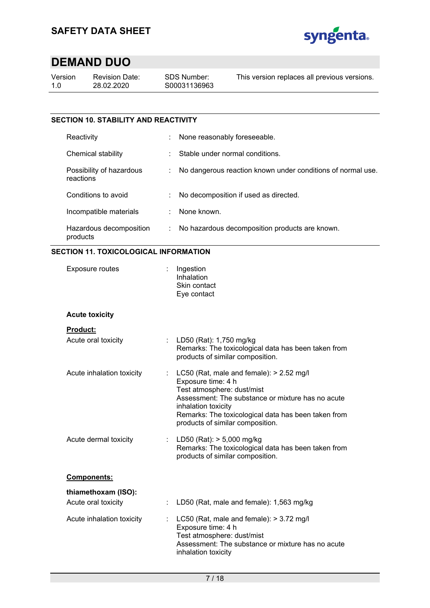

| Version |  |
|---------|--|
| 1.0     |  |

Revision Date: 28.02.2020

This version replaces all previous versions.

### **SECTION 10. STABILITY AND REACTIVITY**

| Reactivity                            | None reasonably foreseeable.                                |
|---------------------------------------|-------------------------------------------------------------|
| Chemical stability                    | Stable under normal conditions.                             |
| Possibility of hazardous<br>reactions | No dangerous reaction known under conditions of normal use. |
| Conditions to avoid                   | No decomposition if used as directed.                       |
| Incompatible materials                | None known.                                                 |
| Hazardous decomposition<br>products   | No hazardous decomposition products are known.              |

### **SECTION 11. TOXICOLOGICAL INFORMATION**

| <b>Exposure routes</b>                           | Ingestion<br>Inhalation<br>Skin contact<br>Eye contact                                                                                                                                                                                                                |  |  |
|--------------------------------------------------|-----------------------------------------------------------------------------------------------------------------------------------------------------------------------------------------------------------------------------------------------------------------------|--|--|
| <b>Acute toxicity</b>                            |                                                                                                                                                                                                                                                                       |  |  |
| <b>Product:</b>                                  |                                                                                                                                                                                                                                                                       |  |  |
| Acute oral toxicity<br>$\mathbb{R}^{\mathbb{Z}}$ | LD50 (Rat): 1,750 mg/kg<br>Remarks: The toxicological data has been taken from<br>products of similar composition.                                                                                                                                                    |  |  |
| Acute inhalation toxicity                        | LC50 (Rat, male and female): $> 2.52$ mg/l<br>Exposure time: 4 h<br>Test atmosphere: dust/mist<br>Assessment: The substance or mixture has no acute<br>inhalation toxicity<br>Remarks: The toxicological data has been taken from<br>products of similar composition. |  |  |
| Acute dermal toxicity                            | LD50 (Rat): > 5,000 mg/kg<br>Remarks: The toxicological data has been taken from<br>products of similar composition.                                                                                                                                                  |  |  |
| Components:                                      |                                                                                                                                                                                                                                                                       |  |  |
| thiamethoxam (ISO):<br>Acute oral toxicity<br>÷  | LD50 (Rat, male and female): 1,563 mg/kg                                                                                                                                                                                                                              |  |  |
| Acute inhalation toxicity                        | LC50 (Rat, male and female): > 3.72 mg/l<br>Exposure time: 4 h<br>Test atmosphere: dust/mist<br>Assessment: The substance or mixture has no acute<br>inhalation toxicity                                                                                              |  |  |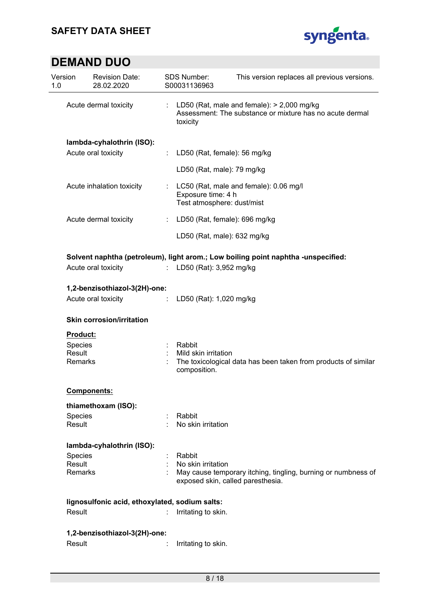

| Version<br>1.0    | <b>Revision Date:</b><br>28.02.2020            |                                                                                                        | <b>SDS Number:</b><br>S00031136963               | This version replaces all previous versions.                                                             |
|-------------------|------------------------------------------------|--------------------------------------------------------------------------------------------------------|--------------------------------------------------|----------------------------------------------------------------------------------------------------------|
|                   | Acute dermal toxicity                          |                                                                                                        | toxicity                                         | LD50 (Rat, male and female): $>$ 2,000 mg/kg<br>Assessment: The substance or mixture has no acute dermal |
|                   | lambda-cyhalothrin (ISO):                      |                                                                                                        |                                                  |                                                                                                          |
|                   | Acute oral toxicity                            | ÷                                                                                                      |                                                  | LD50 (Rat, female): 56 mg/kg                                                                             |
|                   |                                                |                                                                                                        | LD50 (Rat, male): 79 mg/kg                       |                                                                                                          |
|                   | Acute inhalation toxicity                      |                                                                                                        | Exposure time: 4 h<br>Test atmosphere: dust/mist | LC50 (Rat, male and female): 0.06 mg/l                                                                   |
|                   | Acute dermal toxicity                          | ÷                                                                                                      |                                                  | LD50 (Rat, female): 696 mg/kg                                                                            |
|                   |                                                |                                                                                                        |                                                  | LD50 (Rat, male): 632 mg/kg                                                                              |
|                   |                                                |                                                                                                        |                                                  | Solvent naphtha (petroleum), light arom.; Low boiling point naphtha -unspecified:                        |
|                   | Acute oral toxicity                            |                                                                                                        | : LD50 (Rat): 3,952 mg/kg                        |                                                                                                          |
|                   | 1,2-benzisothiazol-3(2H)-one:                  |                                                                                                        |                                                  |                                                                                                          |
|                   | Acute oral toxicity                            | $\ddot{\phantom{a}}$                                                                                   | LD50 (Rat): 1,020 mg/kg                          |                                                                                                          |
|                   | <b>Skin corrosion/irritation</b>               |                                                                                                        |                                                  |                                                                                                          |
| Product:          |                                                |                                                                                                        |                                                  |                                                                                                          |
| Species           |                                                |                                                                                                        | Rabbit                                           |                                                                                                          |
| Result<br>Remarks |                                                | Mild skin irritation<br>The toxicological data has been taken from products of similar<br>composition. |                                                  |                                                                                                          |
|                   | <b>Components:</b>                             |                                                                                                        |                                                  |                                                                                                          |
|                   | thiamethoxam (ISO):                            |                                                                                                        |                                                  |                                                                                                          |
| Species<br>Result |                                                |                                                                                                        | Rabbit<br>No skin irritation                     |                                                                                                          |
|                   | lambda-cyhalothrin (ISO):                      |                                                                                                        |                                                  |                                                                                                          |
| Species           |                                                |                                                                                                        | Rabbit                                           |                                                                                                          |
| Result            |                                                |                                                                                                        | No skin irritation                               |                                                                                                          |
| Remarks           |                                                |                                                                                                        |                                                  | May cause temporary itching, tingling, burning or numbness of<br>exposed skin, called paresthesia.       |
|                   | lignosulfonic acid, ethoxylated, sodium salts: |                                                                                                        |                                                  |                                                                                                          |
| Result            |                                                |                                                                                                        | Irritating to skin.                              |                                                                                                          |
|                   | 1,2-benzisothiazol-3(2H)-one:                  |                                                                                                        |                                                  |                                                                                                          |
| Result            |                                                |                                                                                                        | Irritating to skin.                              |                                                                                                          |
|                   |                                                |                                                                                                        |                                                  |                                                                                                          |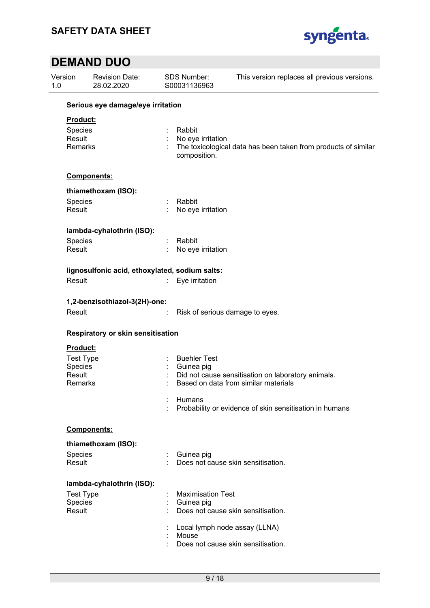

| Version<br>1.0                                         | <b>Revision Date:</b><br>28.02.2020            | SDS Number:<br>S00031136963                 | This version replaces all previous versions.                                                                                                          |  |  |  |  |  |
|--------------------------------------------------------|------------------------------------------------|---------------------------------------------|-------------------------------------------------------------------------------------------------------------------------------------------------------|--|--|--|--|--|
|                                                        | Serious eye damage/eye irritation              |                                             |                                                                                                                                                       |  |  |  |  |  |
| Product:<br>Species<br>Result<br>Remarks               |                                                | Rabbit<br>No eye irritation<br>composition. | The toxicological data has been taken from products of similar                                                                                        |  |  |  |  |  |
|                                                        | Components:                                    |                                             |                                                                                                                                                       |  |  |  |  |  |
|                                                        | thiamethoxam (ISO):                            |                                             |                                                                                                                                                       |  |  |  |  |  |
| Species<br>Result                                      |                                                | Rabbit<br>No eye irritation                 |                                                                                                                                                       |  |  |  |  |  |
|                                                        | lambda-cyhalothrin (ISO):                      |                                             |                                                                                                                                                       |  |  |  |  |  |
| Species<br>Result                                      |                                                | Rabbit<br>No eye irritation                 |                                                                                                                                                       |  |  |  |  |  |
|                                                        | lignosulfonic acid, ethoxylated, sodium salts: |                                             |                                                                                                                                                       |  |  |  |  |  |
| Result                                                 |                                                | Eye irritation                              |                                                                                                                                                       |  |  |  |  |  |
| Result                                                 | 1,2-benzisothiazol-3(2H)-one:                  |                                             | Risk of serious damage to eyes.                                                                                                                       |  |  |  |  |  |
|                                                        | Respiratory or skin sensitisation              |                                             |                                                                                                                                                       |  |  |  |  |  |
| Product:<br>Species<br><b>Result</b><br><b>Remarks</b> | <b>Test Type</b>                               | <b>Buehler Test</b><br>Guinea pig<br>Humans | Did not cause sensitisation on laboratory animals.<br>Based on data from similar materials<br>Probability or evidence of skin sensitisation in humans |  |  |  |  |  |
|                                                        | Components:                                    |                                             |                                                                                                                                                       |  |  |  |  |  |
|                                                        | thiamethoxam (ISO):                            |                                             |                                                                                                                                                       |  |  |  |  |  |
| Species<br>Result                                      |                                                | Guinea pig                                  | Does not cause skin sensitisation.                                                                                                                    |  |  |  |  |  |
|                                                        | lambda-cyhalothrin (ISO):                      |                                             |                                                                                                                                                       |  |  |  |  |  |
| Species<br>Result                                      | <b>Test Type</b>                               | <b>Maximisation Test</b><br>Guinea pig      | Does not cause skin sensitisation.                                                                                                                    |  |  |  |  |  |
|                                                        |                                                | Mouse                                       | Local lymph node assay (LLNA)<br>Does not cause skin sensitisation.                                                                                   |  |  |  |  |  |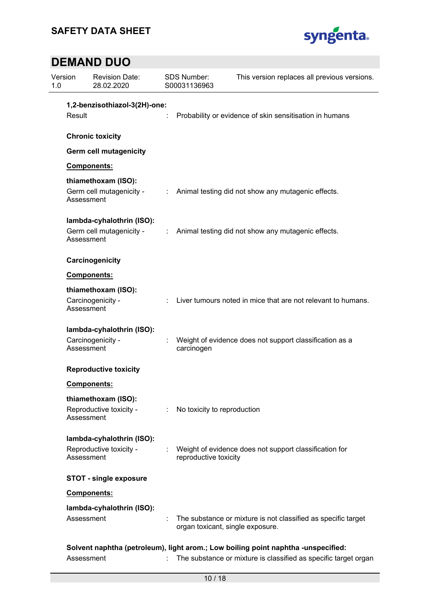

| Version<br>1.0 | <b>Revision Date:</b><br>28.02.2020                    |                              | <b>SDS Number:</b><br>S00031136963 | This version replaces all previous versions.                                                      |  |  |  |  |
|----------------|--------------------------------------------------------|------------------------------|------------------------------------|---------------------------------------------------------------------------------------------------|--|--|--|--|
|                | 1,2-benzisothiazol-3(2H)-one:                          |                              |                                    |                                                                                                   |  |  |  |  |
| Result         |                                                        |                              |                                    | Probability or evidence of skin sensitisation in humans                                           |  |  |  |  |
|                | <b>Chronic toxicity</b>                                |                              |                                    |                                                                                                   |  |  |  |  |
|                | <b>Germ cell mutagenicity</b>                          |                              |                                    |                                                                                                   |  |  |  |  |
|                | Components:                                            |                              |                                    |                                                                                                   |  |  |  |  |
|                | thiamethoxam (ISO):                                    |                              |                                    |                                                                                                   |  |  |  |  |
|                | Germ cell mutagenicity -<br>Assessment                 | ÷                            |                                    | Animal testing did not show any mutagenic effects.                                                |  |  |  |  |
|                | lambda-cyhalothrin (ISO):                              |                              |                                    |                                                                                                   |  |  |  |  |
|                | Germ cell mutagenicity -<br>Assessment                 | $\mathcal{L}_{\mathrm{max}}$ |                                    | Animal testing did not show any mutagenic effects.                                                |  |  |  |  |
|                | Carcinogenicity                                        |                              |                                    |                                                                                                   |  |  |  |  |
|                | <b>Components:</b>                                     |                              |                                    |                                                                                                   |  |  |  |  |
|                | thiamethoxam (ISO):<br>Carcinogenicity -<br>Assessment |                              |                                    | Liver tumours noted in mice that are not relevant to humans.                                      |  |  |  |  |
|                | lambda-cyhalothrin (ISO):                              |                              |                                    |                                                                                                   |  |  |  |  |
|                | Carcinogenicity -<br>Assessment                        |                              | carcinogen                         | Weight of evidence does not support classification as a                                           |  |  |  |  |
|                | <b>Reproductive toxicity</b>                           |                              |                                    |                                                                                                   |  |  |  |  |
|                | Components:                                            |                              |                                    |                                                                                                   |  |  |  |  |
|                | thiamethoxam (ISO):                                    |                              |                                    |                                                                                                   |  |  |  |  |
|                | Reproductive toxicity -<br>Assessment                  |                              | No toxicity to reproduction        |                                                                                                   |  |  |  |  |
|                | lambda-cyhalothrin (ISO):                              |                              |                                    |                                                                                                   |  |  |  |  |
|                | Reproductive toxicity -<br>Assessment                  |                              | reproductive toxicity              | Weight of evidence does not support classification for                                            |  |  |  |  |
|                | <b>STOT - single exposure</b>                          |                              |                                    |                                                                                                   |  |  |  |  |
|                | Components:                                            |                              |                                    |                                                                                                   |  |  |  |  |
|                | lambda-cyhalothrin (ISO):                              |                              |                                    |                                                                                                   |  |  |  |  |
|                | Assessment                                             |                              |                                    | The substance or mixture is not classified as specific target<br>organ toxicant, single exposure. |  |  |  |  |
|                |                                                        |                              |                                    | Solvent naphtha (petroleum), light arom.; Low boiling point naphtha -unspecified:                 |  |  |  |  |
|                | Assessment                                             | ÷.                           |                                    | The substance or mixture is classified as specific target organ                                   |  |  |  |  |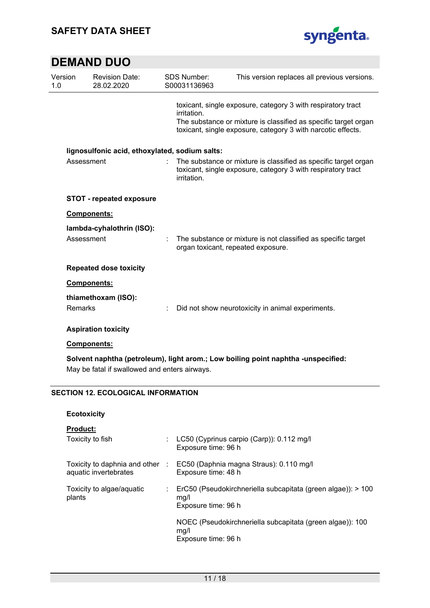

| Version<br>1.0 | <b>Revision Date:</b><br>28.02.2020            | <b>SDS Number:</b><br>S00031136963 | This version replaces all previous versions.                                                                                                                                                    |
|----------------|------------------------------------------------|------------------------------------|-------------------------------------------------------------------------------------------------------------------------------------------------------------------------------------------------|
|                |                                                | irritation.                        | toxicant, single exposure, category 3 with respiratory tract<br>The substance or mixture is classified as specific target organ<br>toxicant, single exposure, category 3 with narcotic effects. |
|                | lignosulfonic acid, ethoxylated, sodium salts: |                                    |                                                                                                                                                                                                 |
|                | Assessment                                     | irritation.                        | The substance or mixture is classified as specific target organ<br>toxicant, single exposure, category 3 with respiratory tract                                                                 |
|                | <b>STOT - repeated exposure</b>                |                                    |                                                                                                                                                                                                 |
|                | <b>Components:</b>                             |                                    |                                                                                                                                                                                                 |
|                | lambda-cyhalothrin (ISO):                      |                                    |                                                                                                                                                                                                 |
|                | Assessment                                     |                                    | The substance or mixture is not classified as specific target<br>organ toxicant, repeated exposure.                                                                                             |
|                | <b>Repeated dose toxicity</b>                  |                                    |                                                                                                                                                                                                 |
|                | <b>Components:</b>                             |                                    |                                                                                                                                                                                                 |
|                | thiamethoxam (ISO):                            |                                    |                                                                                                                                                                                                 |
| Remarks        |                                                |                                    | Did not show neurotoxicity in animal experiments.                                                                                                                                               |
|                | <b>Aspiration toxicity</b>                     |                                    |                                                                                                                                                                                                 |
|                | <b>Components:</b>                             |                                    |                                                                                                                                                                                                 |
|                | May be fatal if swallowed and enters airways.  |                                    | Solvent naphtha (petroleum), light arom.; Low boiling point naphtha -unspecified:                                                                                                               |

### **SECTION 12. ECOLOGICAL INFORMATION**

#### **Ecotoxicity**

#### **Product:**

| Toxicity to fish                                       |      | LC50 (Cyprinus carpio (Carp)): 0.112 mg/l<br>Exposure time: 96 h                            |
|--------------------------------------------------------|------|---------------------------------------------------------------------------------------------|
| Toxicity to daphnia and other<br>aquatic invertebrates | - 11 | EC50 (Daphnia magna Straus): 0.110 mg/l<br>Exposure time: 48 h                              |
| Toxicity to algae/aquatic<br>plants                    |      | ErC50 (Pseudokirchneriella subcapitata (green algae)): > 100<br>ma/l<br>Exposure time: 96 h |
|                                                        |      | NOEC (Pseudokirchneriella subcapitata (green algae)): 100<br>mg/l<br>Exposure time: 96 h    |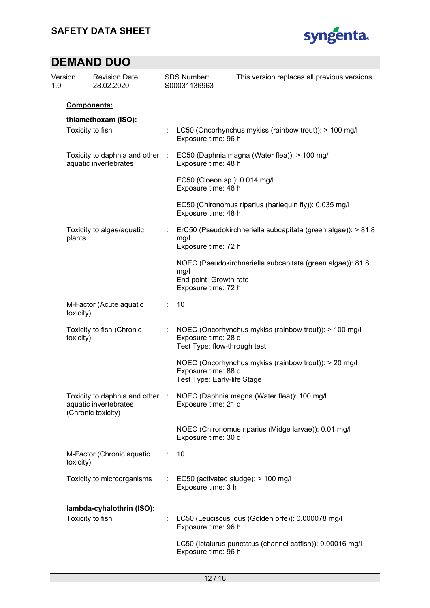

| Version<br>1.0 |                                        | <b>Revision Date:</b><br>28.02.2020                      |   | SDS Number:<br>S00031136963                           | This version replaces all previous versions.                                |
|----------------|----------------------------------------|----------------------------------------------------------|---|-------------------------------------------------------|-----------------------------------------------------------------------------|
|                |                                        | Components:                                              |   |                                                       |                                                                             |
|                |                                        | thiamethoxam (ISO):<br>Toxicity to fish                  |   | Exposure time: 96 h                                   | LC50 (Oncorhynchus mykiss (rainbow trout)): > 100 mg/l                      |
|                |                                        | Toxicity to daphnia and other :<br>aquatic invertebrates |   | Exposure time: 48 h                                   | EC50 (Daphnia magna (Water flea)): > 100 mg/l                               |
|                |                                        |                                                          |   | EC50 (Cloeon sp.): 0.014 mg/l<br>Exposure time: 48 h  |                                                                             |
|                |                                        |                                                          |   | Exposure time: 48 h                                   | EC50 (Chironomus riparius (harlequin fly)): 0.035 mg/l                      |
|                | Toxicity to algae/aquatic<br>plants    |                                                          |   | mg/l<br>Exposure time: 72 h                           | ErC50 (Pseudokirchneriella subcapitata (green algae)): > 81.8               |
|                |                                        |                                                          |   | mg/l<br>End point: Growth rate<br>Exposure time: 72 h | NOEC (Pseudokirchneriella subcapitata (green algae)): 81.8                  |
|                | toxicity)                              | M-Factor (Acute aquatic                                  |   | 10                                                    |                                                                             |
|                | Toxicity to fish (Chronic<br>toxicity) |                                                          |   | Exposure time: 28 d<br>Test Type: flow-through test   | NOEC (Oncorhynchus mykiss (rainbow trout)): > 100 mg/l                      |
|                |                                        |                                                          |   | Exposure time: 88 d<br>Test Type: Early-life Stage    | NOEC (Oncorhynchus mykiss (rainbow trout)): > 20 mg/l                       |
|                |                                        | aquatic invertebrates<br>(Chronic toxicity)              |   | Exposure time: 21 d                                   | Toxicity to daphnia and other : NOEC (Daphnia magna (Water flea)): 100 mg/l |
|                |                                        |                                                          |   | Exposure time: 30 d                                   | NOEC (Chironomus riparius (Midge larvae)): 0.01 mg/l                        |
|                | toxicity)                              | M-Factor (Chronic aquatic                                | ÷ | 10                                                    |                                                                             |
|                |                                        | Toxicity to microorganisms                               |   | Exposure time: 3 h                                    | EC50 (activated sludge): > 100 mg/l                                         |
|                |                                        | lambda-cyhalothrin (ISO):<br>Toxicity to fish            |   | Exposure time: 96 h                                   | LC50 (Leuciscus idus (Golden orfe)): 0.000078 mg/l                          |
|                |                                        |                                                          |   | Exposure time: 96 h                                   | LC50 (Ictalurus punctatus (channel catfish)): 0.00016 mg/l                  |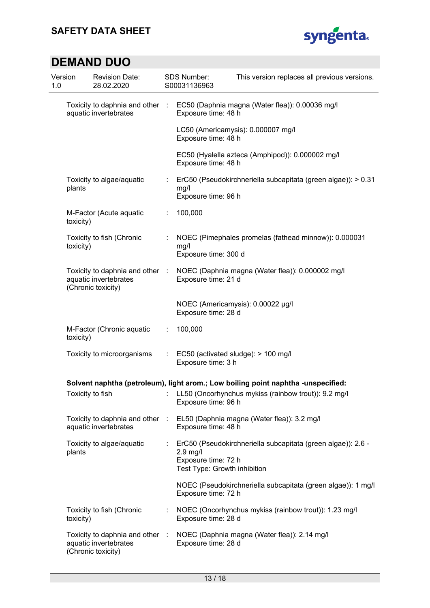

| Version<br>1.0 | <b>Revision Date:</b><br>28.02.2020                      |                | SDS Number:<br>S00031136963                                       | This version replaces all previous versions.                                                                                                                 |
|----------------|----------------------------------------------------------|----------------|-------------------------------------------------------------------|--------------------------------------------------------------------------------------------------------------------------------------------------------------|
|                | aquatic invertebrates                                    |                | Exposure time: 48 h                                               | Toxicity to daphnia and other : EC50 (Daphnia magna (Water flea)): 0.00036 mg/l                                                                              |
|                |                                                          |                | Exposure time: 48 h                                               | LC50 (Americamysis): 0.000007 mg/l                                                                                                                           |
|                |                                                          |                | Exposure time: 48 h                                               | EC50 (Hyalella azteca (Amphipod)): 0.000002 mg/l                                                                                                             |
| plants         | Toxicity to algae/aquatic                                | ÷              | mg/l<br>Exposure time: 96 h                                       | ErC50 (Pseudokirchneriella subcapitata (green algae)): > 0.31                                                                                                |
| toxicity)      | M-Factor (Acute aquatic                                  |                | 100,000                                                           |                                                                                                                                                              |
| toxicity)      | Toxicity to fish (Chronic                                |                | mg/l<br>Exposure time: 300 d                                      | NOEC (Pimephales promelas (fathead minnow)): 0.000031                                                                                                        |
|                | aquatic invertebrates<br>(Chronic toxicity)              |                | Exposure time: 21 d                                               | Toxicity to daphnia and other : NOEC (Daphnia magna (Water flea)): 0.000002 mg/l                                                                             |
|                |                                                          |                | Exposure time: 28 d                                               | NOEC (Americamysis): 0.00022 µg/l                                                                                                                            |
| toxicity)      | M-Factor (Chronic aquatic                                | $\mathbb{Z}^n$ | 100,000                                                           |                                                                                                                                                              |
|                | Toxicity to microorganisms                               |                | Exposure time: 3 h                                                | EC50 (activated sludge): > 100 mg/l                                                                                                                          |
|                |                                                          |                | Exposure time: 96 h                                               | Solvent naphtha (petroleum), light arom.; Low boiling point naphtha -unspecified:<br>Toxicity to fish : LL50 (Oncorhynchus mykiss (rainbow trout)): 9.2 mg/l |
|                | Toxicity to daphnia and other :<br>aquatic invertebrates |                | Exposure time: 48 h                                               | EL50 (Daphnia magna (Water flea)): 3.2 mg/l                                                                                                                  |
| plants         | Toxicity to algae/aquatic                                | ÷              | $2.9$ mg/l<br>Exposure time: 72 h<br>Test Type: Growth inhibition | ErC50 (Pseudokirchneriella subcapitata (green algae)): 2.6 -                                                                                                 |
|                |                                                          |                | Exposure time: 72 h                                               | NOEC (Pseudokirchneriella subcapitata (green algae)): 1 mg/l                                                                                                 |
| toxicity)      | Toxicity to fish (Chronic                                |                | Exposure time: 28 d                                               | NOEC (Oncorhynchus mykiss (rainbow trout)): 1.23 mg/l                                                                                                        |
|                | aquatic invertebrates<br>(Chronic toxicity)              |                | Exposure time: 28 d                                               | Toxicity to daphnia and other : NOEC (Daphnia magna (Water flea)): 2.14 mg/l                                                                                 |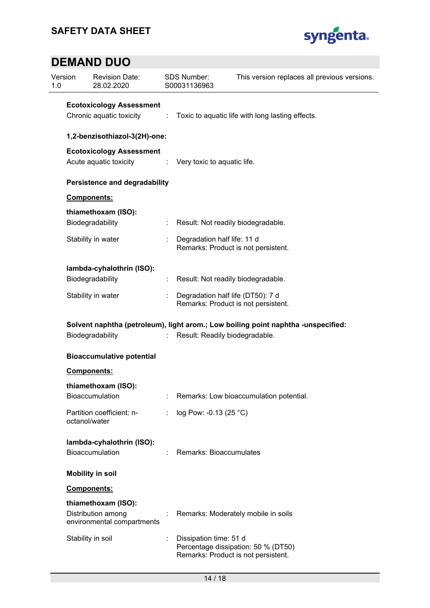

| Version<br>1.0 | <b>Revision Date:</b><br>28.02.2020                           |  | <b>SDS Number:</b><br>S00031136963                                       | This version replaces all previous versions.                                      |
|----------------|---------------------------------------------------------------|--|--------------------------------------------------------------------------|-----------------------------------------------------------------------------------|
|                | <b>Ecotoxicology Assessment</b><br>Chronic aquatic toxicity : |  |                                                                          | Toxic to aquatic life with long lasting effects.                                  |
|                | 1,2-benzisothiazol-3(2H)-one:                                 |  |                                                                          |                                                                                   |
|                | <b>Ecotoxicology Assessment</b><br>Acute aquatic toxicity     |  | : Very toxic to aquatic life.                                            |                                                                                   |
|                | <b>Persistence and degradability</b>                          |  |                                                                          |                                                                                   |
|                | Components:                                                   |  |                                                                          |                                                                                   |
|                | thiamethoxam (ISO):<br>Biodegradability                       |  | Result: Not readily biodegradable.                                       |                                                                                   |
|                | Stability in water                                            |  | Degradation half life: 11 d<br>Remarks: Product is not persistent.       |                                                                                   |
|                | lambda-cyhalothrin (ISO):<br>Biodegradability                 |  | Result: Not readily biodegradable.                                       |                                                                                   |
|                | Stability in water                                            |  | Degradation half life (DT50): 7 d<br>Remarks: Product is not persistent. |                                                                                   |
|                | Biodegradability<br><b>Bioaccumulative potential</b>          |  | Result: Readily biodegradable.                                           | Solvent naphtha (petroleum), light arom.; Low boiling point naphtha -unspecified: |
|                |                                                               |  |                                                                          |                                                                                   |
|                | <b>Components:</b>                                            |  |                                                                          |                                                                                   |
|                | thiamethoxam (ISO):<br>Bioaccumulation                        |  |                                                                          | Remarks: Low bioaccumulation potential.                                           |
|                | Partition coefficient: n-<br>octanol/water                    |  | log Pow: -0.13 (25 °C)                                                   |                                                                                   |
|                | lambda-cyhalothrin (ISO):<br>Bioaccumulation                  |  | Remarks: Bioaccumulates                                                  |                                                                                   |
|                | <b>Mobility in soil</b>                                       |  |                                                                          |                                                                                   |
|                | <b>Components:</b>                                            |  |                                                                          |                                                                                   |
|                | thiamethoxam (ISO):                                           |  |                                                                          |                                                                                   |
|                | Distribution among<br>environmental compartments              |  |                                                                          | Remarks: Moderately mobile in soils                                               |
|                | Stability in soil                                             |  | Dissipation time: 51 d<br>Remarks: Product is not persistent.            | Percentage dissipation: 50 % (DT50)                                               |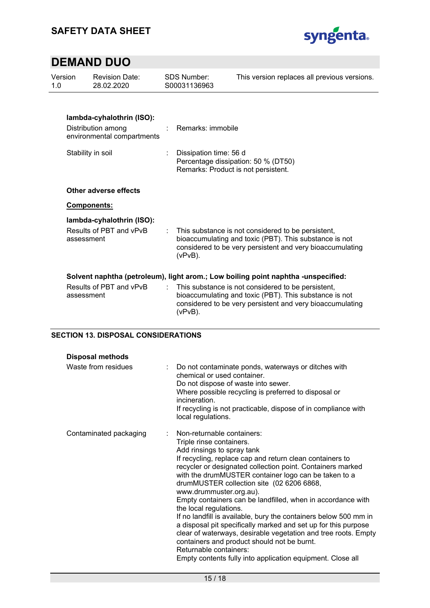

| Version<br>1.0 |                   | <b>Revision Date:</b><br>28.02.2020                                           | <b>SDS Number:</b><br>S00031136963                                                                   | This version replaces all previous versions.                                                                                                                                                                                                                   |
|----------------|-------------------|-------------------------------------------------------------------------------|------------------------------------------------------------------------------------------------------|----------------------------------------------------------------------------------------------------------------------------------------------------------------------------------------------------------------------------------------------------------------|
|                |                   | lambda-cyhalothrin (ISO):<br>Distribution among<br>environmental compartments | Remarks: immobile                                                                                    |                                                                                                                                                                                                                                                                |
|                | Stability in soil |                                                                               | Dissipation time: 56 d<br>Percentage dissipation: 50 % (DT50)<br>Remarks: Product is not persistent. |                                                                                                                                                                                                                                                                |
|                |                   | Other adverse effects                                                         |                                                                                                      |                                                                                                                                                                                                                                                                |
|                | Components:       |                                                                               |                                                                                                      |                                                                                                                                                                                                                                                                |
|                | assessment        | lambda-cyhalothrin (ISO):<br>Results of PBT and vPvB                          | $(vPvB)$ .                                                                                           | This substance is not considered to be persistent,<br>bioaccumulating and toxic (PBT). This substance is not<br>considered to be very persistent and very bioaccumulating                                                                                      |
|                | assessment        | Results of PBT and vPvB                                                       | $(vPvB)$ .                                                                                           | Solvent naphtha (petroleum), light arom.; Low boiling point naphtha -unspecified:<br>This substance is not considered to be persistent,<br>bioaccumulating and toxic (PBT). This substance is not<br>considered to be very persistent and very bioaccumulating |

### **SECTION 13. DISPOSAL CONSIDERATIONS**

| <b>Disposal methods</b> |                                                                                                                                                                                                                                                                                                                                                                                                                                                                                                                                                                                                                                                                                                                                                                                          |
|-------------------------|------------------------------------------------------------------------------------------------------------------------------------------------------------------------------------------------------------------------------------------------------------------------------------------------------------------------------------------------------------------------------------------------------------------------------------------------------------------------------------------------------------------------------------------------------------------------------------------------------------------------------------------------------------------------------------------------------------------------------------------------------------------------------------------|
| Waste from residues     | Do not contaminate ponds, waterways or ditches with<br>chemical or used container.<br>Do not dispose of waste into sewer.<br>Where possible recycling is preferred to disposal or<br>incineration<br>If recycling is not practicable, dispose of in compliance with<br>local regulations.                                                                                                                                                                                                                                                                                                                                                                                                                                                                                                |
| Contaminated packaging  | : Non-returnable containers:<br>Triple rinse containers.<br>Add rinsings to spray tank<br>If recycling, replace cap and return clean containers to<br>recycler or designated collection point. Containers marked<br>with the drumMUSTER container logo can be taken to a<br>drumMUSTER collection site (02 6206 6868,<br>www.drummuster.org.au).<br>Empty containers can be landfilled, when in accordance with<br>the local regulations.<br>If no landfill is available, bury the containers below 500 mm in<br>a disposal pit specifically marked and set up for this purpose<br>clear of waterways, desirable vegetation and tree roots. Empty<br>containers and product should not be burnt.<br>Returnable containers:<br>Empty contents fully into application equipment. Close all |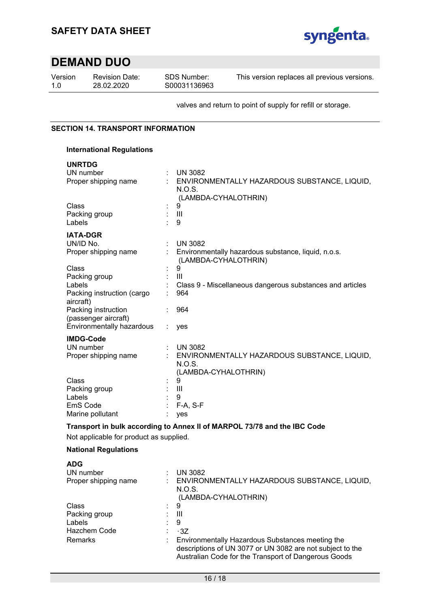

Version 1.0

Revision Date: 28.02.2020

SDS Number: S00031136963 This version replaces all previous versions.

valves and return to point of supply for refill or storage.

### **SECTION 14. TRANSPORT INFORMATION**

### **International Regulations**

| <b>UNRTDG</b>     |  |
|-------------------|--|
| <b>IIN</b> numbor |  |

| UN number                  |   | <b>UN 3082</b>                                                              |
|----------------------------|---|-----------------------------------------------------------------------------|
| Proper shipping name       |   | ENVIRONMENTALLY HAZARDOUS SUBSTANCE, LIQUID,                                |
|                            |   | N.O.S.                                                                      |
|                            |   | (LAMBDA-CYHALOTHRIN)                                                        |
| Class                      |   | 9                                                                           |
| Packing group              |   | $\mathbf{III}$                                                              |
| Labels                     |   | 9                                                                           |
| <b>IATA-DGR</b>            |   |                                                                             |
| UN/ID No.                  |   | <b>UN 3082</b>                                                              |
| Proper shipping name       |   | Environmentally hazardous substance, liquid, n.o.s.<br>(LAMBDA-CYHALOTHRIN) |
| Class                      |   | 9                                                                           |
| Packing group              |   | $\mathbf{III}$                                                              |
| Labels                     |   | Class 9 - Miscellaneous dangerous substances and articles                   |
| Packing instruction (cargo |   | 964                                                                         |
| aircraft)                  |   |                                                                             |
| Packing instruction        |   | 964                                                                         |
| (passenger aircraft)       |   |                                                                             |
| Environmentally hazardous  |   | yes                                                                         |
| <b>IMDG-Code</b>           |   |                                                                             |
| UN number                  | ÷ | <b>UN 3082</b>                                                              |
| Proper shipping name       |   | ENVIRONMENTALLY HAZARDOUS SUBSTANCE, LIQUID,                                |
|                            |   | N.O.S.                                                                      |
|                            |   | (LAMBDA-CYHALOTHRIN)                                                        |
| Class                      |   | 9                                                                           |
| Packing group              |   | Ш                                                                           |
| Labels                     |   | 9                                                                           |
| EmS Code                   |   | $F-A, S-F$                                                                  |
| Marine pollutant           |   | yes                                                                         |
|                            |   | Transport in bulk according to Annex II of MARPOL 73/78 and the IBC Code    |

Not applicable for product as supplied.

### **National Regulations**

| <b>ADG</b>           |    |                                                                                                                                                                       |
|----------------------|----|-----------------------------------------------------------------------------------------------------------------------------------------------------------------------|
| UN number            |    | <b>UN 3082</b>                                                                                                                                                        |
| Proper shipping name |    | ENVIRONMENTALLY HAZARDOUS SUBSTANCE, LIQUID,<br>N.O.S.                                                                                                                |
|                      |    | (LAMBDA-CYHALOTHRIN)                                                                                                                                                  |
| Class                | ÷. | 9                                                                                                                                                                     |
| Packing group        |    | Ш                                                                                                                                                                     |
| Labels               |    | 9                                                                                                                                                                     |
| Hazchem Code         |    | $\cdot$ 3Z                                                                                                                                                            |
| Remarks              |    | Environmentally Hazardous Substances meeting the<br>descriptions of UN 3077 or UN 3082 are not subject to the<br>Australian Code for the Transport of Dangerous Goods |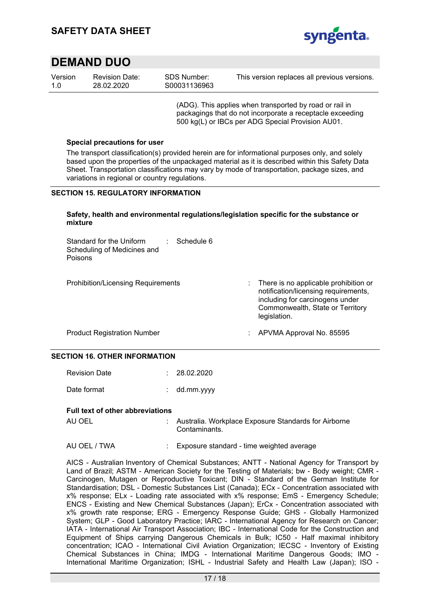

| Version | <b>Revision Date:</b> | SDS Number:  | This version replaces all previous versions. |
|---------|-----------------------|--------------|----------------------------------------------|
| 1.0     | 28.02.2020            | S00031136963 |                                              |

(ADG). This applies when transported by road or rail in packagings that do not incorporate a receptacle exceeding 500 kg(L) or IBCs per ADG Special Provision AU01.

#### **Special precautions for user**

The transport classification(s) provided herein are for informational purposes only, and solely based upon the properties of the unpackaged material as it is described within this Safety Data Sheet. Transportation classifications may vary by mode of transportation, package sizes, and variations in regional or country regulations.

#### **SECTION 15. REGULATORY INFORMATION**

#### **Safety, health and environmental regulations/legislation specific for the substance or mixture**

| Standard for the Uniform<br>Scheduling of Medicines and<br>Poisons | Schedule 6 |                                                                                                                                                                      |
|--------------------------------------------------------------------|------------|----------------------------------------------------------------------------------------------------------------------------------------------------------------------|
| <b>Prohibition/Licensing Requirements</b>                          |            | There is no applicable prohibition or<br>notification/licensing requirements,<br>including for carcinogens under<br>Commonwealth, State or Territory<br>legislation. |
| <b>Product Registration Number</b>                                 |            | APVMA Approval No. 85595                                                                                                                                             |

#### **SECTION 16. OTHER INFORMATION**

| <b>Revision Date</b> | : 28.02.2020 |
|----------------------|--------------|
| Date format          | : dd.mm.yyyy |

#### **Full text of other abbreviations**

| AU OEL | Australia. Workplace Exposure Standards for Airborne |
|--------|------------------------------------------------------|
|        | Contaminants.                                        |

### AU OEL / TWA : Exposure standard - time weighted average

AICS - Australian Inventory of Chemical Substances; ANTT - National Agency for Transport by Land of Brazil; ASTM - American Society for the Testing of Materials; bw - Body weight; CMR - Carcinogen, Mutagen or Reproductive Toxicant; DIN - Standard of the German Institute for Standardisation; DSL - Domestic Substances List (Canada); ECx - Concentration associated with x% response; ELx - Loading rate associated with x% response; EmS - Emergency Schedule; ENCS - Existing and New Chemical Substances (Japan); ErCx - Concentration associated with x% growth rate response; ERG - Emergency Response Guide; GHS - Globally Harmonized System; GLP - Good Laboratory Practice; IARC - International Agency for Research on Cancer; IATA - International Air Transport Association; IBC - International Code for the Construction and Equipment of Ships carrying Dangerous Chemicals in Bulk; IC50 - Half maximal inhibitory concentration; ICAO - International Civil Aviation Organization; IECSC - Inventory of Existing Chemical Substances in China; IMDG - International Maritime Dangerous Goods; IMO - International Maritime Organization; ISHL - Industrial Safety and Health Law (Japan); ISO -